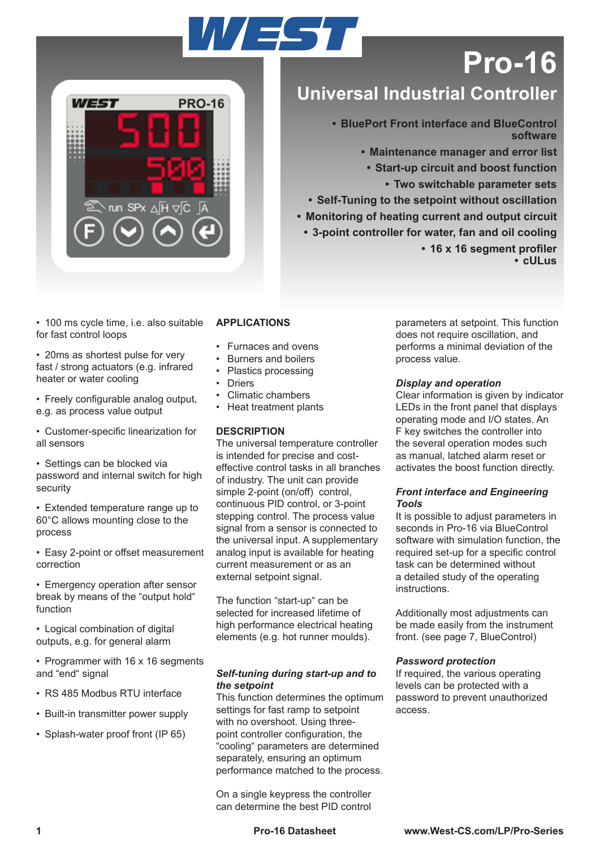# VEST



## **Pro-16**

### **Universal Industrial Controller**

**• BluePort Front interface and BlueControl software**

**• Maintenance manager and error list**

**• Start-up circuit and boost function**

**• Two switchable parameter sets**

**• Self-Tuning to the setpoint without oscillation**

**• Monitoring of heating current and output circuit**

**• 3-point controller for water, fan and oil cooling • 16 x 16 segment profiler • cULus**

• 100 ms cycle time, i.e. also suitable for fast control loops

• 20ms as shortest pulse for very fast / strong actuators (e.g. infrared heater or water cooling

• Freely configurable analog output, e.g. as process value output

• Customer-specific linearization for all sensors

• Settings can be blocked via password and internal switch for high security

• Extended temperature range up to 60°C allows mounting close to the process

• Easy 2-point or offset measurement correction

• Emergency operation after sensor break by means of the "output hold" function

• Logical combination of digital outputs, e.g. for general alarm

- Programmer with 16 x 16 segments and "end" signal
- RS 485 Modbus RTU interface
- Built-in transmitter power supply
- Splash-water proof front (IP 65)

#### **APPLICATIONS**

- Furnaces and ovens
- Burners and boilers
- Plastics processing
- Driers
- Climatic chambers
- Heat treatment plants

#### **DESCRIPTION**

The universal temperature controller is intended for precise and costeffective control tasks in all branches of industry. The unit can provide simple 2-point (on/off) control, continuous PID control, or 3-point stepping control. The process value signal from a sensor is connected to the universal input. A supplementary analog input is available for heating current measurement or as an external setpoint signal.

The function "start-up" can be selected for increased lifetime of high performance electrical heating elements (e.g. hot runner moulds).

#### *Self-tuning during start-up and to the setpoint*

This function determines the optimum settings for fast ramp to setpoint with no overshoot. Using threepoint controller configuration, the "cooling" parameters are determined separately, ensuring an optimum performance matched to the process.

On a single keypress the controller can determine the best PID control

parameters at setpoint. This function does not require oscillation, and performs a minimal deviation of the process value.

#### *Display and operation*

Clear information is given by indicator LEDs in the front panel that displays operating mode and I/O states. An F key switches the controller into the several operation modes such as manual, latched alarm reset or activates the boost function directly.

#### *Front interface and Engineering Tools*

It is possible to adjust parameters in seconds in Pro-16 via BlueControl software with simulation function, the required set-up for a specific control task can be determined without a detailed study of the operating instructions.

Additionally most adjustments can be made easily from the instrument front. (see page 7, BlueControl)

#### *Password protection*

If required, the various operating levels can be protected with a password to prevent unauthorized access.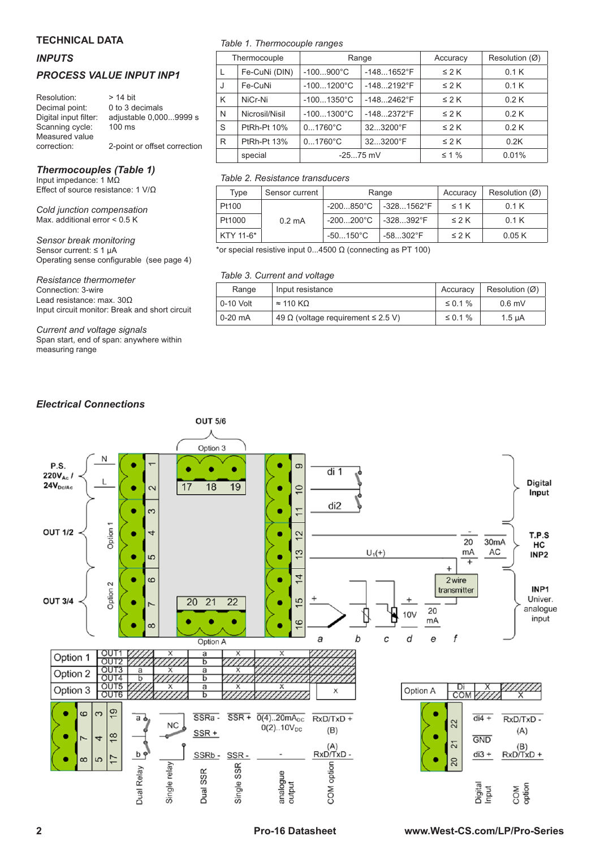#### **TECHNICAL DATA**

#### *INPUTS*

#### *PROCESS VALUE INPUT INP1*

| Resolution:           | $> 14$ bit                   |
|-----------------------|------------------------------|
| Decimal point:        | 0 to 3 decimals              |
| Digital input filter: | adjustable 0,0009999 s       |
| Scanning cycle:       | 100 ms                       |
| Measured value        |                              |
| correction:           | 2-point or offset correction |

#### *Thermocouples (Table 1)*

Input impedance: 1 MΩ Effect of source resistance: 1 V/Ω

*Cold junction compensation* Max. additional error < 0.5 K

*Sensor break monitoring* Sensor current: ≤ 1 µA Operating sense configurable (see page 4)

#### *Resistance thermometer*

Connection: 3-wire Lead resistance: max. 30Ω Input circuit monitor: Break and short circuit

*Current and voltage signals* Span start, end of span: anywhere within measuring range

#### *Table 1. Thermocouple ranges*

|   | Thermocouple   | Range                |                     | Accuracy   | Resolution (Ø) |
|---|----------------|----------------------|---------------------|------------|----------------|
|   | Fe-CuNi (DIN)  | $-100900^{\circ}C$   | $-1481652$ °F       | $\leq$ 2 K | 0.1K           |
| J | Fe-CuNi        | $-1001200^{\circ}C$  | $-1482192^{\circ}F$ | $\leq$ 2 K | 0.1K           |
| K | NiCr-Ni        | $-1001350^{\circ}$ C | $-1482462^{\circ}F$ | $\leq$ 2 K | 0.2K           |
| N | Nicrosil/Nisil | $-1001300^{\circ}C$  | $-1482372$ °F       | $\leq$ 2 K | 0.2K           |
| S | PtRh-Pt 10%    | $01760^{\circ}C$     | 323200°F            | $\leq$ 2 K | 0.2K           |
| R | PtRh-Pt 13%    | $01760^{\circ}C$     | 323200°F            | $\leq$ 2 K | 0.2K           |
|   | special        | $-2575$ mV           |                     | $\leq 1\%$ | 0.01%          |

#### *Table 2. Resistance transducers*

| Type      | Sensor current   | Range               |                     | Accuracy   | Resolution (Ø) |
|-----------|------------------|---------------------|---------------------|------------|----------------|
| Pt100     |                  | -200850°C           | $-3281562^{\circ}F$ | $\leq 1$ K | 0.1K           |
| Pt1000    | $0.2 \text{ mA}$ | $-200200^{\circ}$ C | $-328392^{\circ}F$  | $\leq$ 2 K | 0.1K           |
| KTY 11-6* |                  | $-50150^{\circ}$ C  | $-58302^{\circ}F$   | $\leq$ 2 K | 0.05K          |

\*or special resistive input 0...4500 Ω (connecting as PT 100)

#### *Table 3. Current and voltage*

| Range     | Input resistance                               | Accuracy      | Resolution $(\emptyset)$ |
|-----------|------------------------------------------------|---------------|--------------------------|
| 0-10 Volt | $\approx$ 110 KQ                               | $\leq$ 0.1%   | $0.6$ mV                 |
| 0-20 mA   | 49 $\Omega$ (voltage requirement $\leq$ 2.5 V) | $\leq 0.1 \%$ | $1.5 \mu A$              |

#### *Electrical Connections*

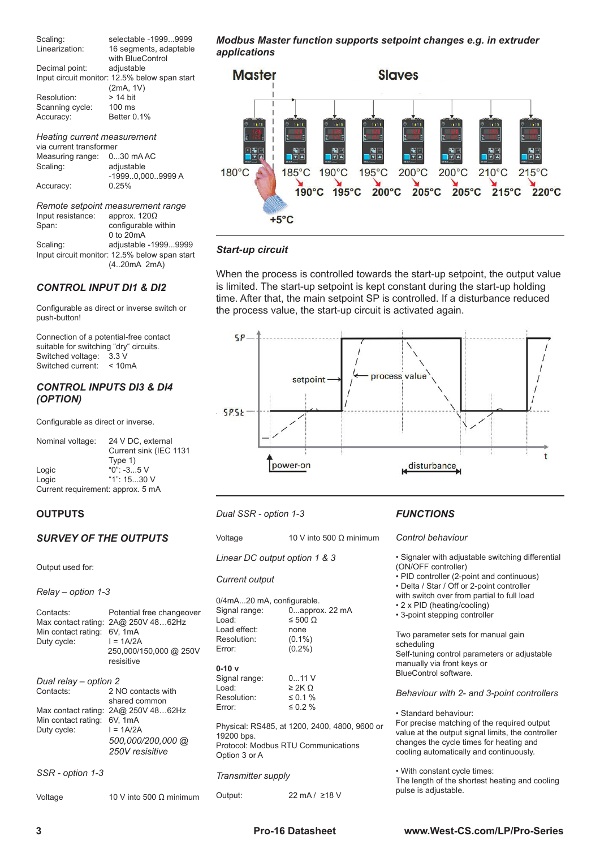Scaling: selectable -1999...9999 Linearization: 16 segments, adaptable with BlueControl<br>adjustable Decimal point: Input circuit monitor: 12.5% below span start (2mA, 1V) Resolution: > 14 bit<br>Scanning cycle: 100 ms Scanning cycle:<br>Accuracy: Better 0.1%

*Heating current measurement* via current transformer Measuring range: 0...30 mA AC<br>Scaling: adjustable adjustable -1999..0,000..9999 A Accuracy:

*Remote setpoint measurement range* Input resistance:<br>Span: configurable within 0 to 20mA Scaling: adjustable -1999...9999 Input circuit monitor: 12.5% below span start (4..20mA 2mA)

#### *CONTROL INPUT DI1 & DI2*

Configurable as direct or inverse switch or push-button!

Connection of a potential-free contact suitable for switching "dry" circuits. Switched voltage: 3.3 V Switched current: < 10mA

#### *CONTROL INPUTS DI3 & DI4 (OPTION)*

Configurable as direct or inverse.

| Nominal voltage:                  | 24 V DC, external      |
|-----------------------------------|------------------------|
|                                   | Current sink (IEC 1131 |
|                                   | Type 1)                |
| Logic                             | $"0"$ : -35 V          |
| Logic                             | "1": $1530$ V          |
| Current requirement: approx. 5 mA |                        |

#### **OUTPUTS**

#### *SURVEY OF THE OUTPUTS*

Output used for:

#### *Relay – option 1-3*

| Contacts:<br>Min contact rating:<br>Duty cycle:                                                 | Potential free changeover<br>Max contact rating: 2A@ 250V 4862Hz<br>6V. 1mA<br>$I = 1A/2A$<br>250,000/150,000 @ 250V<br>resisitive |
|-------------------------------------------------------------------------------------------------|------------------------------------------------------------------------------------------------------------------------------------|
| Dual relay – option 2<br>Contacts:<br>Max contact rating:<br>Min contact rating:<br>Duty cycle: | 2 NO contacts with<br>shared common<br>2A@ 250V 4862Hz<br>6V, 1mA<br>$I = 1A/2A$<br>500,000/200,000 @<br>250V resisitive           |

*SSR - option 1-3*

Voltage 10 V into 500 Ω minimum

*Modbus Master function supports setpoint changes e.g. in extruder applications*



#### *Start-up circuit*

When the process is controlled towards the start-up setpoint, the output value is limited. The start-up setpoint is kept constant during the start-up holding time. After that, the main setpoint SP is controlled. If a disturbance reduced the process value, the start-up circuit is activated again.



- *Dual SSR option 1-3*
- Voltage 10 V into 500 Ω minimum
- *Linear DC output option 1 & 3*

#### *Current output*

| 0/4mA20 mA, configurable.<br>Signal range:<br>Load:<br>Load effect:<br>Resolution:<br>Error:                        | $0$ approx. 22 mA<br>$≤ 500$ Ω<br>none<br>$(0.1\%)$<br>$(0.2\%)$ |  |
|---------------------------------------------------------------------------------------------------------------------|------------------------------------------------------------------|--|
| $0-10v$<br>Signal range:<br>Load:<br>Resolution:<br>Error:                                                          | $011$ V<br>$\geq$ 2K $\Omega$<br>$\leq$ 0.1%<br>$\leq 0.2 \%$    |  |
| Physical: RS485, at 1200, 2400, 4800, 9600 or<br>19200 bps.<br>Protocol: Modbus RTU Communications<br>Option 3 or A |                                                                  |  |
| <b>Transmitter supply</b>                                                                                           |                                                                  |  |

#### *FUNCTIONS*

#### *Control behaviour*

• Signaler with adjustable switching differential (ON/OFF controller)

- PID controller (2-point and continuous)
- Delta / Star / Off or 2-point controller
- with switch over from partial to full load
- 2 x PID (heating/cooling)
- 3-point stepping controller

Two parameter sets for manual gain scheduling Self-tuning control parameters or adjustable manually via front keys or BlueControl software.

#### *Behaviour with 2- and 3-point controllers*

• Standard behaviour:

For precise matching of the required output value at the output signal limits, the controller changes the cycle times for heating and cooling automatically and continuously.

• With constant cycle times: The length of the shortest heating and cooling pulse is adjustable.

Output: 22 mA / ≥18 V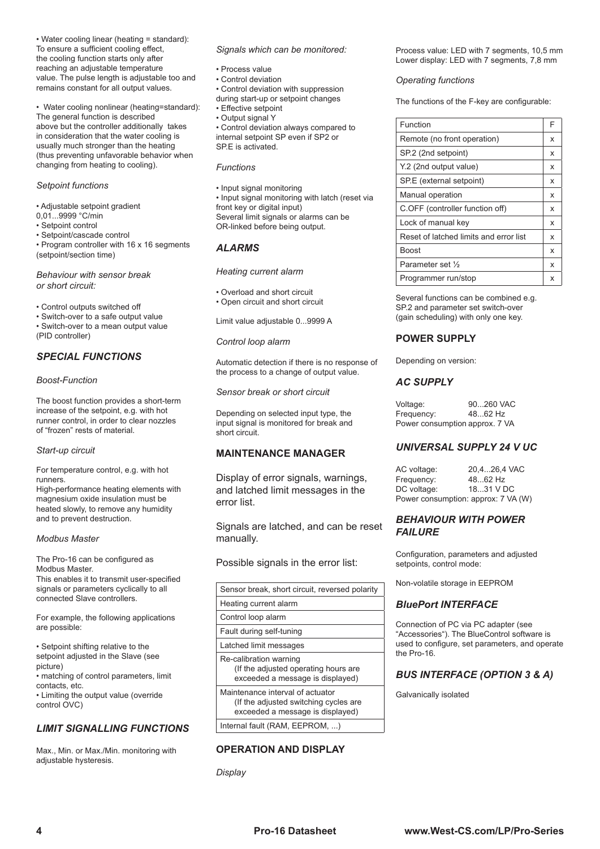• Water cooling linear (heating = standard): To ensure a sufficient cooling effect, the cooling function starts only after reaching an adjustable temperature value. The pulse length is adjustable too and remains constant for all output values.

• Water cooling nonlinear (heating=standard): The general function is described above but the controller additionally takes in consideration that the water cooling is usually much stronger than the heating (thus preventing unfavorable behavior when changing from heating to cooling).

#### *Setpoint functions*

- Adjustable setpoint gradient
- 0,01...9999 °C/min
- Setpoint control
- Setpoint/cascade control
- Program controller with 16 x 16 segments (setpoint/section time)

#### *Behaviour with sensor break or short circuit:*

- Control outputs switched off
- Switch-over to a safe output value
- Switch-over to a mean output value (PID controller)

#### *SPECIAL FUNCTIONS*

#### *Boost-Function*

The boost function provides a short-term increase of the setpoint, e.g. with hot runner control, in order to clear nozzles of "frozen" rests of material.

#### *Start-up circuit*

For temperature control, e.g. with hot runners.

High-performance heating elements with magnesium oxide insulation must be heated slowly, to remove any humidity and to prevent destruction.

#### *Modbus Master*

The Pro-16 can be configured as Modbus Master. This enables it to transmit user-specified signals or parameters cyclically to all connected Slave controllers.

For example, the following applications are possible:

• Setpoint shifting relative to the setpoint adjusted in the Slave (see picture) • matching of control parameters, limit contacts, etc. • Limiting the output value (override control OVC)

#### *LIMIT SIGNALLING FUNCTIONS*

Max., Min. or Max./Min. monitoring with adjustable hysteresis.

#### *Signals which can be monitored:*

- Process value
	- Control deviation
	- Control deviation with suppression
	- during start-up or setpoint changes
	- Effective setpoint
	- Output signal Y

• Control deviation always compared to internal setpoint SP even if SP2 or SP.E is activated.

#### *Functions*

• Input signal monitoring

• Input signal monitoring with latch (reset via front key or digital input) Several limit signals or alarms can be

OR-linked before being output.

#### *ALARMS*

#### *Heating current alarm*

- Overload and short circuit
- Open circuit and short circuit

Limit value adjustable 0...9999 A

#### *Control loop alarm*

Automatic detection if there is no response of the process to a change of output value.

*Sensor break or short circuit*

Depending on selected input type, the input signal is monitored for break and short circuit.

#### **MAINTENANCE MANAGER**

Display of error signals, warnings, and latched limit messages in the error list.

Signals are latched, and can be reset manually.

Possible signals in the error list:

| Sensor break, short circuit, reversed polarity                                                                |
|---------------------------------------------------------------------------------------------------------------|
| Heating current alarm                                                                                         |
| Control loop alarm                                                                                            |
| Fault during self-tuning                                                                                      |
| Latched limit messages                                                                                        |
| Re-calibration warning<br>(If the adjusted operating hours are<br>exceeded a message is displayed)            |
| Maintenance interval of actuator<br>(If the adjusted switching cycles are<br>exceeded a message is displayed) |
| Internal fault (RAM, EEPROM, )                                                                                |

#### **OPERATION AND DISPLAY**

*Display*

Process value: LED with 7 segments, 10,5 mm Lower display: LED with 7 segments, 7,8 mm

#### *Operating functions*

The functions of the F-key are configurable:

| Function                               | F |
|----------------------------------------|---|
| Remote (no front operation)            | x |
| SP.2 (2nd setpoint)                    | x |
| Y.2 (2nd output value)                 | x |
| SP.E (external setpoint)               | x |
| Manual operation                       | x |
| C.OFF (controller function off)        | x |
| Lock of manual key                     | x |
| Reset of latched limits and error list | x |
| Boost                                  | x |
| Parameter set 1/2                      | x |
| Programmer run/stop                    | x |

Several functions can be combined e.g. SP.2 and parameter set switch-over (gain scheduling) with only one key.

#### **POWER SUPPLY**

Depending on version:

#### *AC SUPPLY*

| Voltage:                       | 90260 VAC |
|--------------------------------|-----------|
| Frequency:                     | 4862 Hz   |
| Power consumption approx. 7 VA |           |

#### *UNIVERSAL SUPPLY 24 V UC*

| AC voltage:                         | 20,426,4 VAC |
|-------------------------------------|--------------|
| Frequency:                          | 4862 Hz      |
| DC voltage:                         | 18.31 V DC   |
| Power consumption: approx: 7 VA (W) |              |

#### *BEHAVIOUR WITH POWER FAILURE*

Configuration, parameters and adjusted setpoints, control mode:

Non-volatile storage in EEPROM

#### *BluePort INTERFACE*

Connection of PC via PC adapter (see "Accessories"). The BlueControl software is used to configure, set parameters, and operate the Pro-16.

#### *BUS INTERFACE (OPTION 3 & A)*

Galvanically isolated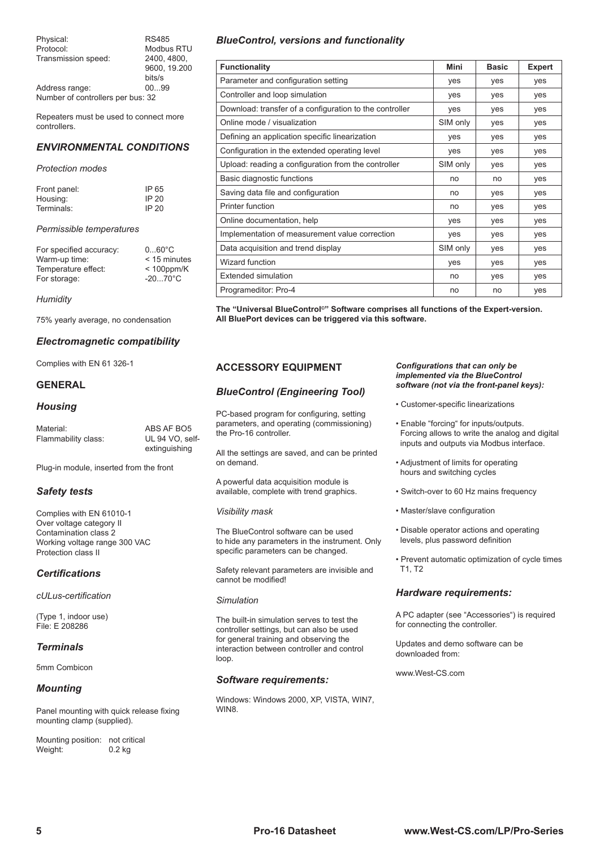| Physical:                         | <b>RS485</b> |
|-----------------------------------|--------------|
| Protocol:                         | Modbus RTU   |
| Transmission speed:               | 2400.4800.   |
|                                   | 9600. 19.200 |
|                                   | bits/s       |
| Address range:                    | 0099         |
| Number of controllers per bus: 32 |              |

Repeaters must be used to connect more controllers.

#### *ENVIRONMENTAL CONDITIONS*

#### *Protection modes*

| Front panel: | IP 65 |
|--------------|-------|
| Housing:     | IP 20 |
| Terminals:   | IP 20 |

#### *Permissible temperatures*

| For specified accuracy:<br>Warm-up time: | $060^{\circ}$ C<br>$<$ 15 minutes |
|------------------------------------------|-----------------------------------|
| Temperature effect:                      | $< 100$ ppm/K                     |
| For storage:                             | $-2070^{\circ}$ C                 |

*Humidity*

75% yearly average, no condensation

#### *Electromagnetic compatibility*

Complies with EN 61 326-1

#### **GENERAL**

#### *Housing*

| Material:           | ABS AF BO5      |
|---------------------|-----------------|
| Flammability class: | UL 94 VO. self- |
|                     | extinguishing   |

Plug-in module, inserted from the front

#### *Safety tests*

Complies with EN 61010-1 Over voltage category II Contamination class 2 Working voltage range 300 VAC Protection class II

#### *Certifications*

*cULus-certification*

(Type 1, indoor use) File: E 208286

#### *Terminals*

5mm Combicon

#### *Mounting*

Panel mounting with quick release fixing mounting clamp (supplied).

Mounting position: not critical<br>Weight: 0.2 kg Weight:

#### *BlueControl, versions and functionality*

| <b>Functionality</b>                                    | Mini     | <b>Basic</b> | <b>Expert</b> |
|---------------------------------------------------------|----------|--------------|---------------|
| Parameter and configuration setting                     | yes      | yes          | yes           |
| Controller and loop simulation                          | ves      | yes          | yes           |
| Download: transfer of a configuration to the controller | ves      | yes          | yes           |
| Online mode / visualization                             | SIM only | yes          | ves           |
| Defining an application specific linearization          | ves      | yes          | yes           |
| Configuration in the extended operating level           | yes      | yes          | yes           |
| Upload: reading a configuration from the controller     | SIM only | yes          | yes           |
| Basic diagnostic functions                              | no       | no           | yes           |
| Saving data file and configuration                      | no       | yes          | yes           |
| Printer function                                        | no       | ves          | ves           |
| Online documentation, help                              | yes      | yes          | yes           |
| Implementation of measurement value correction          | yes      | yes          | yes           |
| Data acquisition and trend display                      | SIM only | yes          | yes           |
| Wizard function                                         | yes      | yes          | yes           |
| <b>Extended simulation</b>                              | no       | yes          | yes           |
| Programeditor: Pro-4                                    | no       | no           | yes           |

**The "Universal BlueControl©" Software comprises all functions of the Expert-version. All BluePort devices can be triggered via this software.**

#### **ACCESSORY EQUIPMENT**

#### *BlueControl (Engineering Tool)*

PC-based program for configuring, setting parameters, and operating (commissioning) the Pro-16 controller.

All the settings are saved, and can be printed on demand.

A powerful data acquisition module is available, complete with trend graphics.

#### *Visibility mask*

The BlueControl software can be used to hide any parameters in the instrument. Only specific parameters can be changed.

Safety relevant parameters are invisible and cannot be modified!

#### *Simulation*

The built-in simulation serves to test the controller settings, but can also be used for general training and observing the interaction between controller and control loop.

#### *Software requirements:*

Windows: Windows 2000, XP, VISTA, WIN7, WIN8.

#### *Configurations that can only be implemented via the BlueControl software (not via the front-panel keys):*

- Customer-specific linearizations
- Enable "forcing" for inputs/outputs. Forcing allows to write the analog and digital inputs and outputs via Modbus interface.
- Adjustment of limits for operating hours and switching cycles
- Switch-over to 60 Hz mains frequency
- Master/slave configuration
- Disable operator actions and operating levels, plus password definition
- Prevent automatic optimization of cycle times T1, T2

#### *Hardware requirements:*

A PC adapter (see "Accessories") is required for connecting the controller.

Updates and demo software can be downloaded from:

www.West-CS.com